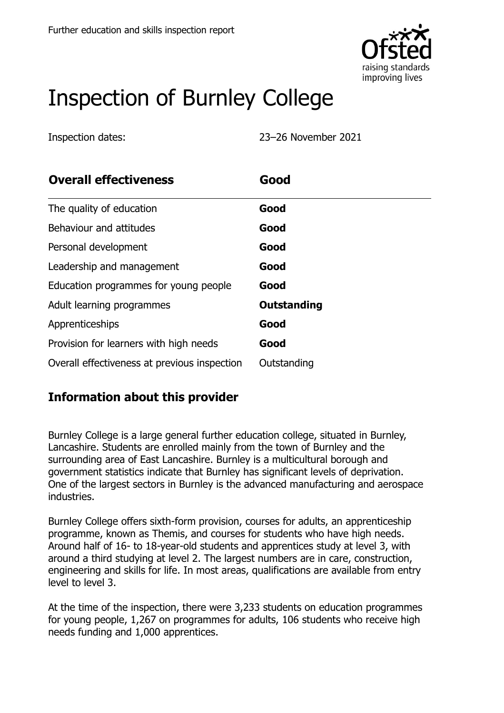

# Inspection of Burnley College

Inspection dates: 23–26 November 2021

| <b>Overall effectiveness</b>                 | Good        |
|----------------------------------------------|-------------|
| The quality of education                     | Good        |
| Behaviour and attitudes                      | Good        |
| Personal development                         | Good        |
| Leadership and management                    | Good        |
| Education programmes for young people        | Good        |
| Adult learning programmes                    | Outstanding |
| Apprenticeships                              | Good        |
| Provision for learners with high needs       | Good        |
| Overall effectiveness at previous inspection | Outstanding |

## **Information about this provider**

Burnley College is a large general further education college, situated in Burnley, Lancashire. Students are enrolled mainly from the town of Burnley and the surrounding area of East Lancashire. Burnley is a multicultural borough and government statistics indicate that Burnley has significant levels of deprivation. One of the largest sectors in Burnley is the advanced manufacturing and aerospace industries.

Burnley College offers sixth-form provision, courses for adults, an apprenticeship programme, known as Themis, and courses for students who have high needs. Around half of 16- to 18-year-old students and apprentices study at level 3, with around a third studying at level 2. The largest numbers are in care, construction, engineering and skills for life. In most areas, qualifications are available from entry level to level 3.

At the time of the inspection, there were 3,233 students on education programmes for young people, 1,267 on programmes for adults, 106 students who receive high needs funding and 1,000 apprentices.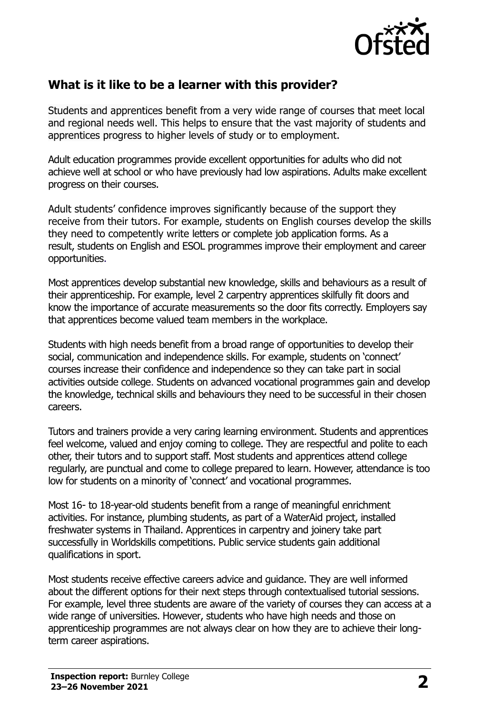

#### **What is it like to be a learner with this provider?**

Students and apprentices benefit from a very wide range of courses that meet local and regional needs well. This helps to ensure that the vast majority of students and apprentices progress to higher levels of study or to employment.

Adult education programmes provide excellent opportunities for adults who did not achieve well at school or who have previously had low aspirations. Adults make excellent progress on their courses.

Adult students' confidence improves significantly because of the support they receive from their tutors. For example, students on English courses develop the skills they need to competently write letters or complete job application forms. As a result, students on English and ESOL programmes improve their employment and career opportunities.

Most apprentices develop substantial new knowledge, skills and behaviours as a result of their apprenticeship. For example, level 2 carpentry apprentices skilfully fit doors and know the importance of accurate measurements so the door fits correctly. Employers say that apprentices become valued team members in the workplace.

Students with high needs benefit from a broad range of opportunities to develop their social, communication and independence skills. For example, students on 'connect' courses increase their confidence and independence so they can take part in social activities outside college. Students on advanced vocational programmes gain and develop the knowledge, technical skills and behaviours they need to be successful in their chosen careers.

Tutors and trainers provide a very caring learning environment. Students and apprentices feel welcome, valued and enjoy coming to college. They are respectful and polite to each other, their tutors and to support staff. Most students and apprentices attend college regularly, are punctual and come to college prepared to learn. However, attendance is too low for students on a minority of 'connect' and vocational programmes.

Most 16- to 18-year-old students benefit from a range of meaningful enrichment activities. For instance, plumbing students, as part of a WaterAid project, installed freshwater systems in Thailand. Apprentices in carpentry and joinery take part successfully in Worldskills competitions. Public service students gain additional qualifications in sport.

Most students receive effective careers advice and guidance. They are well informed about the different options for their next steps through contextualised tutorial sessions. For example, level three students are aware of the variety of courses they can access at a wide range of universities. However, students who have high needs and those on apprenticeship programmes are not always clear on how they are to achieve their longterm career aspirations.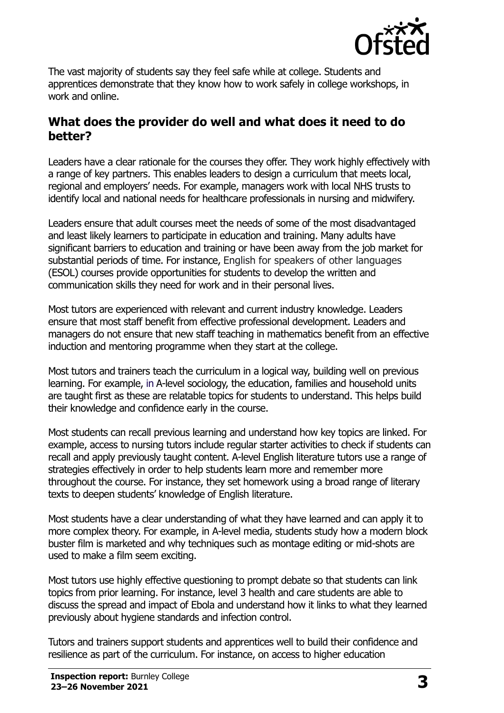

The vast majority of students say they feel safe while at college. Students and apprentices demonstrate that they know how to work safely in college workshops, in work and online.

#### **What does the provider do well and what does it need to do better?**

Leaders have a clear rationale for the courses they offer. They work highly effectively with a range of key partners. This enables leaders to design a curriculum that meets local, regional and employers' needs. For example, managers work with local NHS trusts to identify local and national needs for healthcare professionals in nursing and midwifery.

Leaders ensure that adult courses meet the needs of some of the most disadvantaged and least likely learners to participate in education and training. Many adults have significant barriers to education and training or have been away from the job market for substantial periods of time. For instance, English for speakers of other languages (ESOL) courses provide opportunities for students to develop the written and communication skills they need for work and in their personal lives.

Most tutors are experienced with relevant and current industry knowledge. Leaders ensure that most staff benefit from effective professional development. Leaders and managers do not ensure that new staff teaching in mathematics benefit from an effective induction and mentoring programme when they start at the college.

Most tutors and trainers teach the curriculum in a logical way, building well on previous learning. For example, in A-level sociology, the education, families and household units are taught first as these are relatable topics for students to understand. This helps build their knowledge and confidence early in the course.

Most students can recall previous learning and understand how key topics are linked. For example, access to nursing tutors include regular starter activities to check if students can recall and apply previously taught content. A-level English literature tutors use a range of strategies effectively in order to help students learn more and remember more throughout the course. For instance, they set homework using a broad range of literary texts to deepen students' knowledge of English literature.

Most students have a clear understanding of what they have learned and can apply it to more complex theory. For example, in A-level media, students study how a modern block buster film is marketed and why techniques such as montage editing or mid-shots are used to make a film seem exciting.

Most tutors use highly effective questioning to prompt debate so that students can link topics from prior learning. For instance, level 3 health and care students are able to discuss the spread and impact of Ebola and understand how it links to what they learned previously about hygiene standards and infection control.

Tutors and trainers support students and apprentices well to build their confidence and resilience as part of the curriculum. For instance, on access to higher education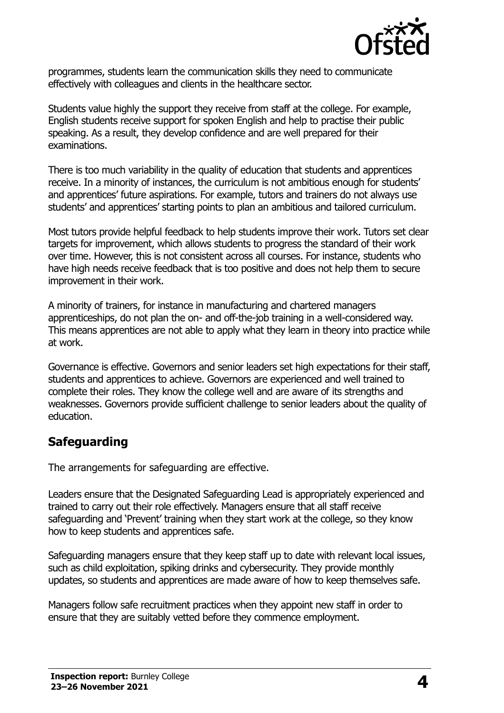

programmes, students learn the communication skills they need to communicate effectively with colleagues and clients in the healthcare sector.

Students value highly the support they receive from staff at the college. For example, English students receive support for spoken English and help to practise their public speaking. As a result, they develop confidence and are well prepared for their examinations.

There is too much variability in the quality of education that students and apprentices receive. In a minority of instances, the curriculum is not ambitious enough for students' and apprentices' future aspirations. For example, tutors and trainers do not always use students' and apprentices' starting points to plan an ambitious and tailored curriculum.

Most tutors provide helpful feedback to help students improve their work. Tutors set clear targets for improvement, which allows students to progress the standard of their work over time. However, this is not consistent across all courses. For instance, students who have high needs receive feedback that is too positive and does not help them to secure improvement in their work.

A minority of trainers, for instance in manufacturing and chartered managers apprenticeships, do not plan the on- and off-the-job training in a well-considered way. This means apprentices are not able to apply what they learn in theory into practice while at work.

Governance is effective. Governors and senior leaders set high expectations for their staff, students and apprentices to achieve. Governors are experienced and well trained to complete their roles. They know the college well and are aware of its strengths and weaknesses. Governors provide sufficient challenge to senior leaders about the quality of education.

## **Safeguarding**

The arrangements for safeguarding are effective.

Leaders ensure that the Designated Safeguarding Lead is appropriately experienced and trained to carry out their role effectively. Managers ensure that all staff receive safeguarding and 'Prevent' training when they start work at the college, so they know how to keep students and apprentices safe.

Safeguarding managers ensure that they keep staff up to date with relevant local issues, such as child exploitation, spiking drinks and cybersecurity. They provide monthly updates, so students and apprentices are made aware of how to keep themselves safe.

Managers follow safe recruitment practices when they appoint new staff in order to ensure that they are suitably vetted before they commence employment.

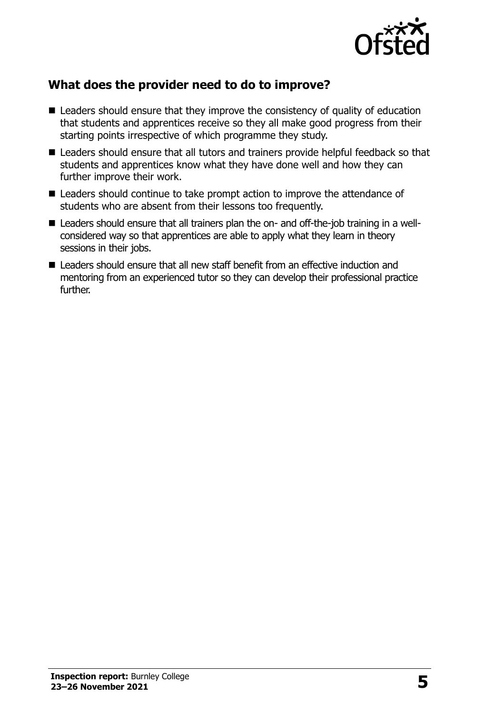

## **What does the provider need to do to improve?**

- Leaders should ensure that they improve the consistency of quality of education that students and apprentices receive so they all make good progress from their starting points irrespective of which programme they study.
- Leaders should ensure that all tutors and trainers provide helpful feedback so that students and apprentices know what they have done well and how they can further improve their work.
- Leaders should continue to take prompt action to improve the attendance of students who are absent from their lessons too frequently.
- Leaders should ensure that all trainers plan the on- and off-the-job training in a wellconsidered way so that apprentices are able to apply what they learn in theory sessions in their jobs.
- Leaders should ensure that all new staff benefit from an effective induction and mentoring from an experienced tutor so they can develop their professional practice further.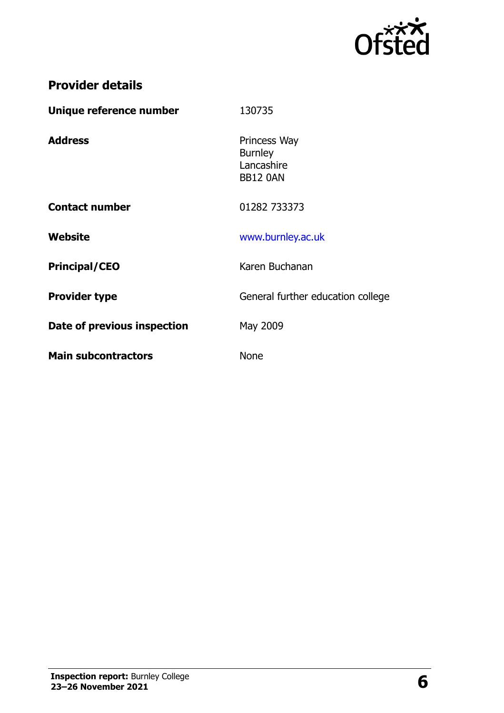

# **Provider details**

| 130735                                                          |
|-----------------------------------------------------------------|
| Princess Way<br><b>Burnley</b><br>Lancashire<br><b>BB12 0AN</b> |
| 01282 733373                                                    |
| www.burnley.ac.uk                                               |
| Karen Buchanan                                                  |
| General further education college                               |
| May 2009                                                        |
| <b>None</b>                                                     |
|                                                                 |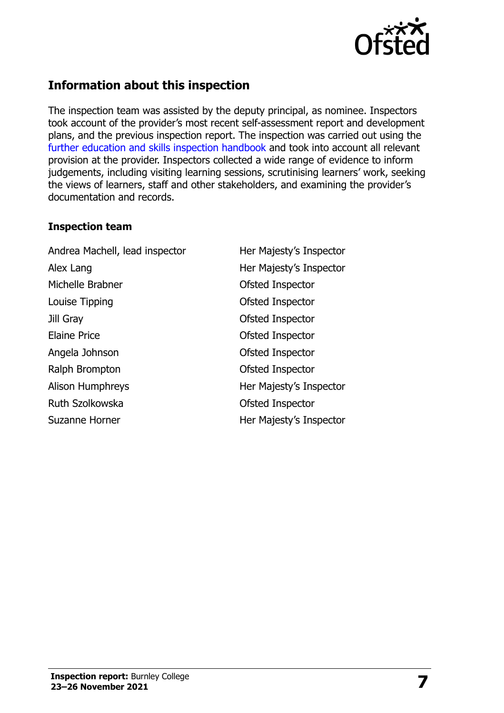

## **Information about this inspection**

The inspection team was assisted by the deputy principal, as nominee. Inspectors took account of the provider's most recent self-assessment report and development plans, and the previous inspection report. The inspection was carried out using the [further education and skills inspection handbook](http://www.gov.uk/government/publications/further-education-and-skills-inspection-handbook-eif) and took into account all relevant provision at the provider. Inspectors collected a wide range of evidence to inform judgements, including visiting learning sessions, scrutinising learners' work, seeking the views of learners, staff and other stakeholders, and examining the provider's documentation and records.

#### **Inspection team**

Andrea Machell, lead inspector Her Majesty's Inspector Alex Lang **Her Majesty's Inspector** Michelle Brabner **Calculate Contract Contract Contract Contract Contract Contract Contract Contract Contract Contract Contract Contract Contract Contract Contract Contract Contract Contract Contract Contract Contract Contr** Louise Tipping **Contract Contract Contract Contract Contract Contract Contract Contract Contract Contract Contract Contract Contract Contract Contract Contract Contract Contract Contract Contract Contract Contract Contract** Jill Gray Ofsted Inspector Elaine Price **Contact Contact Contact Contact Contact Contact Contact Contact Contact Contact Contact Contact Contact Contact Contact Contact Contact Contact Contact Contact Contact Contact Contact Contact Contact Contact** Angela Johnson **Ofsted Inspector** Ralph Brompton **Calculation** Ofsted Inspector Alison Humphreys **Her Majesty's Inspector** Ruth Szolkowska **Ofsted Inspector** Suzanne Horner **Her Majesty's Inspector**